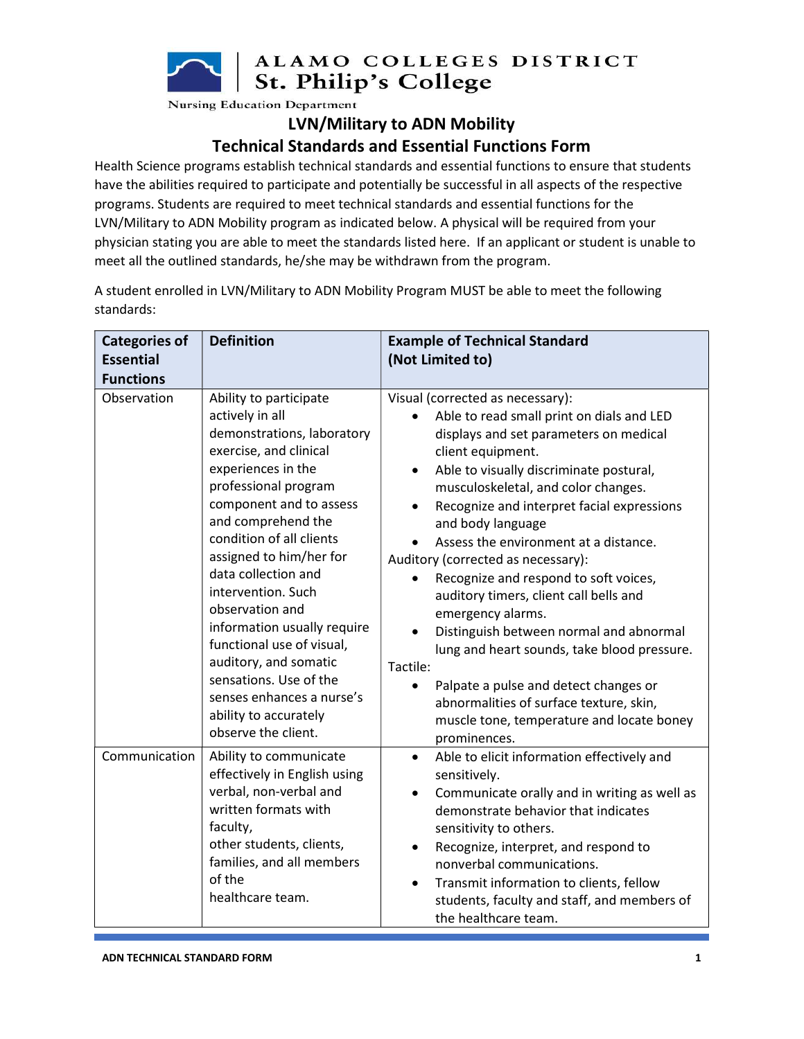ALAMO COLLEGES DISTRICT St. Philip's College

**Nursing Education Department** 

#### LVN/Military to ADN Mobility

### Technical Standards and Essential Functions Form

Health Science programs establish technical standards and essential functions to ensure that students have the abilities required to participate and potentially be successful in all aspects of the respective programs. Students are required to meet technical standards and essential functions for the LVN/Military to ADN Mobility program as indicated below. A physical will be required from your physician stating you are able to meet the standards listed here. If an applicant or student is unable to meet all the outlined standards, he/she may be withdrawn from the program.

A student enrolled in LVN/Military to ADN Mobility Program MUST be able to meet the following standards:

| <b>Categories of</b><br><b>Essential</b><br><b>Functions</b> | <b>Definition</b>                                                                                                                                                                                                                                                                                                                                                                                                                                                                                                   | <b>Example of Technical Standard</b><br>(Not Limited to)                                                                                                                                                                                                                                                                                                                                                                                                                                                                                                                                                                                                                                                                                                     |
|--------------------------------------------------------------|---------------------------------------------------------------------------------------------------------------------------------------------------------------------------------------------------------------------------------------------------------------------------------------------------------------------------------------------------------------------------------------------------------------------------------------------------------------------------------------------------------------------|--------------------------------------------------------------------------------------------------------------------------------------------------------------------------------------------------------------------------------------------------------------------------------------------------------------------------------------------------------------------------------------------------------------------------------------------------------------------------------------------------------------------------------------------------------------------------------------------------------------------------------------------------------------------------------------------------------------------------------------------------------------|
| Observation                                                  | Ability to participate<br>actively in all<br>demonstrations, laboratory<br>exercise, and clinical<br>experiences in the<br>professional program<br>component and to assess<br>and comprehend the<br>condition of all clients<br>assigned to him/her for<br>data collection and<br>intervention. Such<br>observation and<br>information usually require<br>functional use of visual,<br>auditory, and somatic<br>sensations. Use of the<br>senses enhances a nurse's<br>ability to accurately<br>observe the client. | Visual (corrected as necessary):<br>Able to read small print on dials and LED<br>displays and set parameters on medical<br>client equipment.<br>Able to visually discriminate postural,<br>$\bullet$<br>musculoskeletal, and color changes.<br>Recognize and interpret facial expressions<br>and body language<br>Assess the environment at a distance.<br>Auditory (corrected as necessary):<br>Recognize and respond to soft voices,<br>auditory timers, client call bells and<br>emergency alarms.<br>Distinguish between normal and abnormal<br>lung and heart sounds, take blood pressure.<br>Tactile:<br>Palpate a pulse and detect changes or<br>abnormalities of surface texture, skin,<br>muscle tone, temperature and locate boney<br>prominences. |
| Communication                                                | Ability to communicate<br>effectively in English using<br>verbal, non-verbal and<br>written formats with<br>faculty,<br>other students, clients,<br>families, and all members<br>of the<br>healthcare team.                                                                                                                                                                                                                                                                                                         | Able to elicit information effectively and<br>$\bullet$<br>sensitively.<br>Communicate orally and in writing as well as<br>$\bullet$<br>demonstrate behavior that indicates<br>sensitivity to others.<br>Recognize, interpret, and respond to<br>$\bullet$<br>nonverbal communications.<br>Transmit information to clients, fellow<br>$\bullet$<br>students, faculty and staff, and members of<br>the healthcare team.                                                                                                                                                                                                                                                                                                                                       |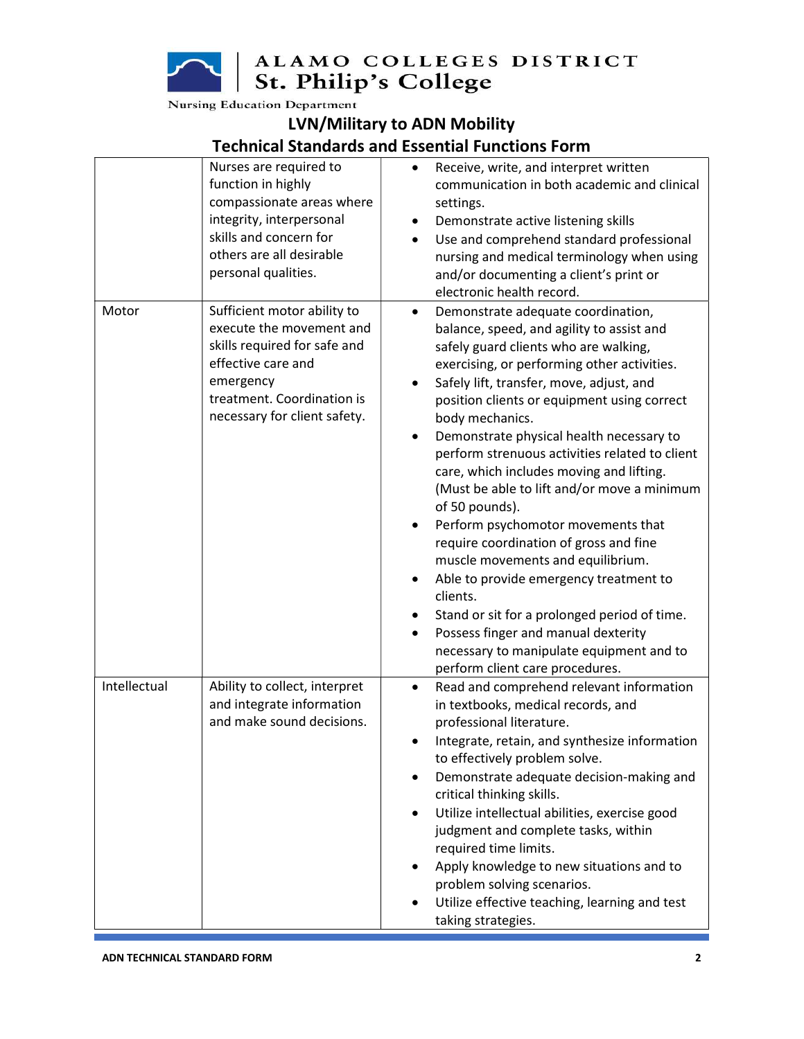ALAMO COLLEGES DISTRICT<br>St. Philip's College

**Nursing Education Department** 

# LVN/Military to ADN Mobility

### Technical Standards and Essential Functions Form

|              | Nurses are required to<br>function in highly<br>compassionate areas where<br>integrity, interpersonal<br>skills and concern for<br>others are all desirable<br>personal qualities.       | Receive, write, and interpret written<br>communication in both academic and clinical<br>settings.<br>Demonstrate active listening skills<br>٠<br>Use and comprehend standard professional<br>$\bullet$<br>nursing and medical terminology when using<br>and/or documenting a client's print or<br>electronic health record.                                                                                                                                                                                                                                                                                                                                                                                                                                                                                                                                                                                                  |
|--------------|------------------------------------------------------------------------------------------------------------------------------------------------------------------------------------------|------------------------------------------------------------------------------------------------------------------------------------------------------------------------------------------------------------------------------------------------------------------------------------------------------------------------------------------------------------------------------------------------------------------------------------------------------------------------------------------------------------------------------------------------------------------------------------------------------------------------------------------------------------------------------------------------------------------------------------------------------------------------------------------------------------------------------------------------------------------------------------------------------------------------------|
| Motor        | Sufficient motor ability to<br>execute the movement and<br>skills required for safe and<br>effective care and<br>emergency<br>treatment. Coordination is<br>necessary for client safety. | Demonstrate adequate coordination,<br>$\bullet$<br>balance, speed, and agility to assist and<br>safely guard clients who are walking,<br>exercising, or performing other activities.<br>Safely lift, transfer, move, adjust, and<br>٠<br>position clients or equipment using correct<br>body mechanics.<br>Demonstrate physical health necessary to<br>$\bullet$<br>perform strenuous activities related to client<br>care, which includes moving and lifting.<br>(Must be able to lift and/or move a minimum<br>of 50 pounds).<br>Perform psychomotor movements that<br>$\bullet$<br>require coordination of gross and fine<br>muscle movements and equilibrium.<br>Able to provide emergency treatment to<br>$\bullet$<br>clients.<br>Stand or sit for a prolonged period of time.<br>٠<br>Possess finger and manual dexterity<br>$\bullet$<br>necessary to manipulate equipment and to<br>perform client care procedures. |
| Intellectual | Ability to collect, interpret<br>and integrate information<br>and make sound decisions.                                                                                                  | Read and comprehend relevant information<br>$\bullet$<br>in textbooks, medical records, and<br>professional literature.<br>Integrate, retain, and synthesize information<br>to effectively problem solve.<br>Demonstrate adequate decision-making and<br>٠<br>critical thinking skills.<br>Utilize intellectual abilities, exercise good<br>٠<br>judgment and complete tasks, within<br>required time limits.<br>Apply knowledge to new situations and to<br>problem solving scenarios.<br>Utilize effective teaching, learning and test<br>$\bullet$<br>taking strategies.                                                                                                                                                                                                                                                                                                                                                  |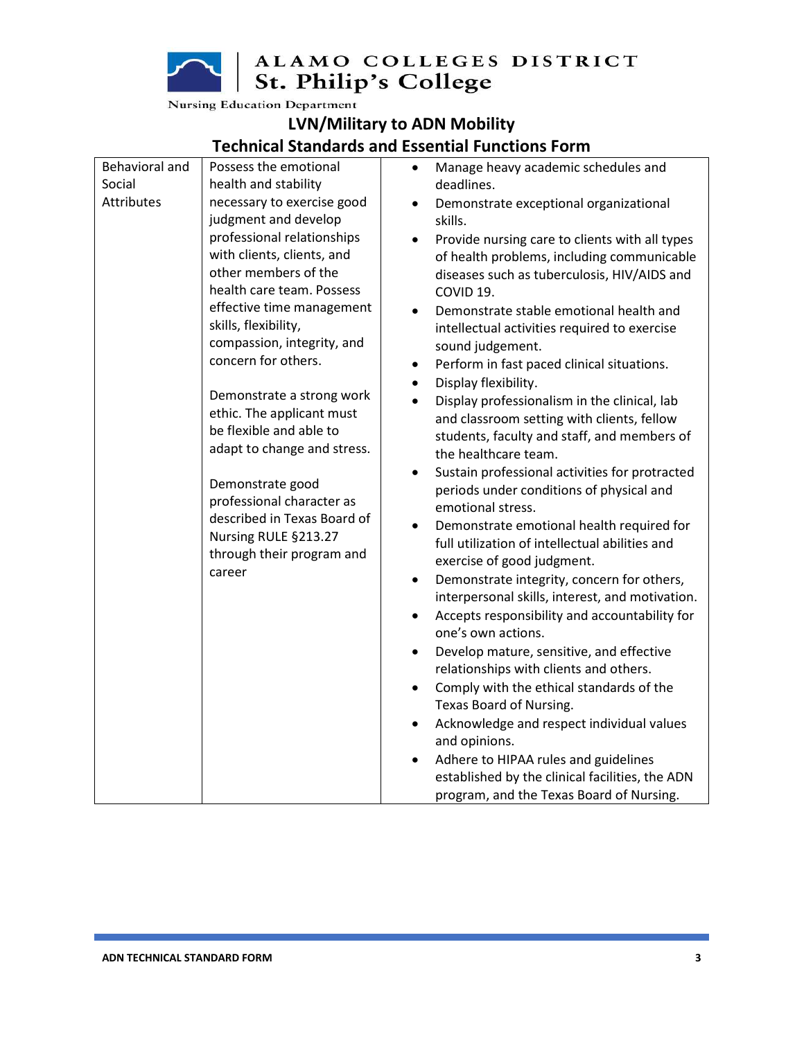ALAMO COLLEGES DISTRICT<br>St. Philip's College

**Nursing Education Department** 

### LVN/Military to ADN Mobility Technical Standards and Essential Functions Form

| Behavioral and    | Possess the emotional                                                                                                             | Manage heavy academic schedules and<br>$\bullet$            |
|-------------------|-----------------------------------------------------------------------------------------------------------------------------------|-------------------------------------------------------------|
| Social            | health and stability                                                                                                              | deadlines.                                                  |
| <b>Attributes</b> | necessary to exercise good                                                                                                        | Demonstrate exceptional organizational<br>$\bullet$         |
|                   | judgment and develop                                                                                                              | skills.                                                     |
|                   | professional relationships                                                                                                        | Provide nursing care to clients with all types<br>$\bullet$ |
|                   | with clients, clients, and                                                                                                        | of health problems, including communicable                  |
|                   | other members of the                                                                                                              | diseases such as tuberculosis, HIV/AIDS and                 |
|                   | health care team. Possess                                                                                                         | COVID 19.                                                   |
|                   | effective time management                                                                                                         | Demonstrate stable emotional health and                     |
|                   | skills, flexibility,                                                                                                              | intellectual activities required to exercise                |
|                   | compassion, integrity, and                                                                                                        | sound judgement.                                            |
|                   | concern for others.                                                                                                               | Perform in fast paced clinical situations.<br>$\bullet$     |
|                   |                                                                                                                                   | Display flexibility.<br>$\bullet$                           |
|                   | Demonstrate a strong work                                                                                                         | Display professionalism in the clinical, lab<br>$\bullet$   |
|                   | ethic. The applicant must                                                                                                         | and classroom setting with clients, fellow                  |
|                   | be flexible and able to                                                                                                           | students, faculty and staff, and members of                 |
|                   | adapt to change and stress.                                                                                                       | the healthcare team.                                        |
|                   | Demonstrate good<br>professional character as<br>described in Texas Board of<br>Nursing RULE §213.27<br>through their program and | Sustain professional activities for protracted<br>$\bullet$ |
|                   |                                                                                                                                   | periods under conditions of physical and                    |
|                   |                                                                                                                                   | emotional stress.                                           |
|                   |                                                                                                                                   | Demonstrate emotional health required for<br>$\bullet$      |
|                   |                                                                                                                                   | full utilization of intellectual abilities and              |
|                   | career                                                                                                                            | exercise of good judgment.                                  |
|                   |                                                                                                                                   | Demonstrate integrity, concern for others,<br>$\bullet$     |
|                   |                                                                                                                                   | interpersonal skills, interest, and motivation.             |
|                   |                                                                                                                                   | Accepts responsibility and accountability for<br>$\bullet$  |
|                   |                                                                                                                                   | one's own actions.                                          |
|                   |                                                                                                                                   | Develop mature, sensitive, and effective<br>$\bullet$       |
|                   |                                                                                                                                   | relationships with clients and others.                      |
|                   |                                                                                                                                   | Comply with the ethical standards of the<br>$\bullet$       |
|                   |                                                                                                                                   | Texas Board of Nursing.                                     |
|                   |                                                                                                                                   | Acknowledge and respect individual values<br>$\bullet$      |
|                   |                                                                                                                                   | and opinions.                                               |
|                   |                                                                                                                                   | Adhere to HIPAA rules and guidelines<br>$\bullet$           |
|                   |                                                                                                                                   | established by the clinical facilities, the ADN             |
|                   |                                                                                                                                   | program, and the Texas Board of Nursing.                    |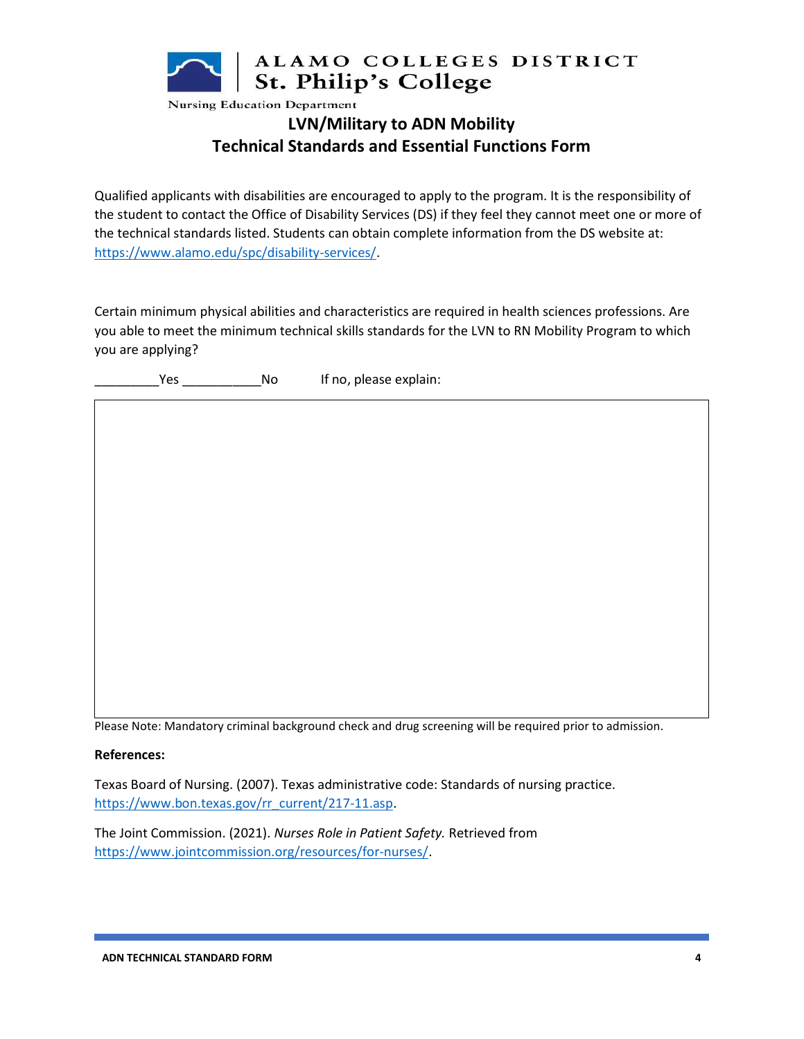

# LVN/Military to ADN Mobility Technical Standards and Essential Functions Form

Qualified applicants with disabilities are encouraged to apply to the program. It is the responsibility of the student to contact the Office of Disability Services (DS) if they feel they cannot meet one or more of the technical standards listed. Students can obtain complete information from the DS website at: https://www.alamo.edu/spc/disability-services/.

Certain minimum physical abilities and characteristics are required in health sciences professions. Are you able to meet the minimum technical skills standards for the LVN to RN Mobility Program to which you are applying?

The Second Second Second Second Second Second Second Second Second Second Second Second Second Second Second S

Please Note: Mandatory criminal background check and drug screening will be required prior to admission.

#### References:

Texas Board of Nursing. (2007). Texas administrative code: Standards of nursing practice. https://www.bon.texas.gov/rr\_current/217-11.asp.

The Joint Commission. (2021). Nurses Role in Patient Safety. Retrieved from https://www.jointcommission.org/resources/for-nurses/.